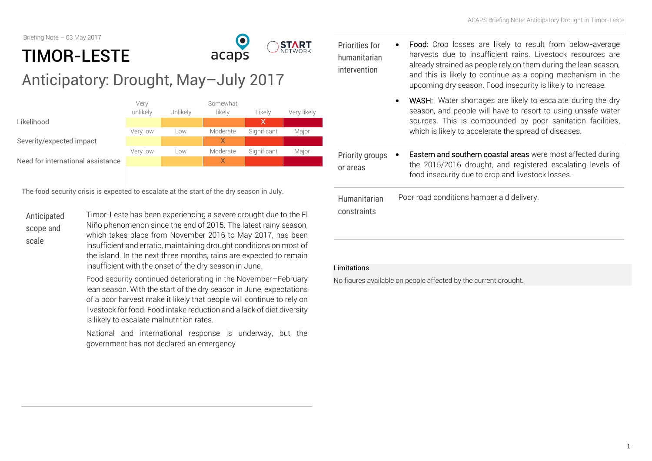Briefing Note – 03 May 2017

# $\mathbf O$ TIMOR-LESTE acaps Anticipatory: Drought, May–July 2017



The food security crisis is expected to escalate at the start of the dry season in July.

Anticipated scope and scale

Timor-Leste has been experiencing a severe drought due to the El Niño phenomenon since the end of 2015. The latest rainy season, which takes place from November 2016 to May 2017, has been insufficient and erratic, maintaining drought conditions on most of the island. In the next three months, rains are expected to remain insufficient with the onset of the dry season in June.

Food security continued deteriorating in the November–February lean season. With the start of the dry season in June, expectations of a poor harvest make it likely that people will continue to rely on livestock for food. Food intake reduction and a lack of diet diversity is likely to escalate malnutrition rates.

National and international response is underway, but the government has not declared an emergency

Priorities for humanitarian intervention

**START** 

- Food: Crop losses are likely to result from below-average harvests due to insufficient rains. Livestock resources are already strained as people rely on them during the lean season, and this is likely to continue as a coping mechanism in the upcoming dry season. Food insecurity is likely to increase.
- WASH: Water shortages are likely to escalate during the dry season, and people will have to resort to using unsafe water sources. This is compounded by poor sanitation facilities, which is likely to accelerate the spread of diseases.

Priority groups • or areas

 Eastern and southern coastal areas were most affected during the 2015/2016 drought, and registered escalating levels of food insecurity due to crop and livestock losses.

Humanitarian constraints Poor road conditions hamper aid delivery.

#### Limitations

No figures available on people affected by the current drought.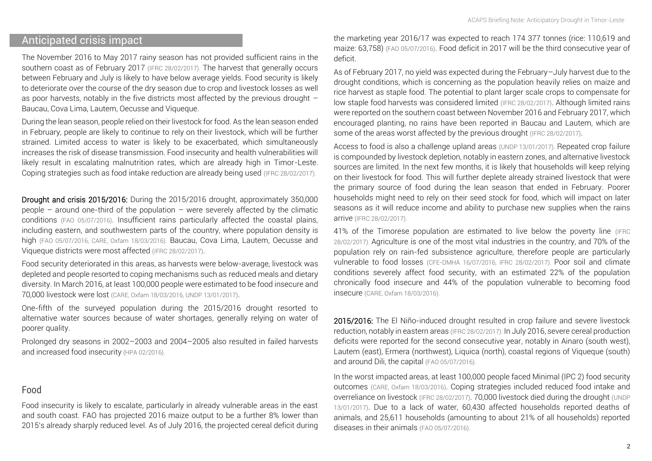## Anticipated crisis impact

The November 2016 to May 2017 rainy season has not provided sufficient rains in the southern coast as of February 2017 [\(IFRC 28/02/2017\)](http://reliefweb.int/sites/reliefweb.int/files/resources/MDRTP004RPoA_0.pdf). The harvest that generally occurs between February and July is likely to have below average yields. Food security is likely to deteriorate over the course of the dry season due to crop and livestock losses as well as poor harvests, notably in the five districts most affected by the previous drought -Baucau, Cova Lima, Lautem, Oecusse and Viqueque.

During the lean season, people relied on their livestock for food. As the lean season ended in February, people are likely to continue to rely on their livestock, which will be further strained. Limited access to water is likely to be exacerbated, which simultaneously increases the risk of disease transmission. Food insecurity and health vulnerabilities will likely result in escalating malnutrition rates, which are already high in Timor-Leste. Coping strategies such as food intake reduction are already being used [\(IFRC 28/02/2017\)](http://reliefweb.int/sites/reliefweb.int/files/resources/MDRTP004RPoA_0.pdf).

Drought and crisis 2015/2016: During the 2015/2016 drought, approximately 350,000 people – around one-third of the population – were severely affected by the climatic conditions [\(FAO 05/07/2016\)](http://reliefweb.int/sites/reliefweb.int/files/resources/a-i5855e.pdf). Insufficient rains particularly affected the coastal plains, including eastern, and southwestern parts of the country, where population density is high [\(FAO 05/07/2016,](http://reliefweb.int/sites/reliefweb.int/files/resources/a-i5855e.pdf) [CARE, Oxfam 18/03/2016\)](http://reliefweb.int/sites/reliefweb.int/files/resources/HPA%20Timor-Leste%20El%20Nino%20assessment%20report%20March2016.pdf). Baucau, Cova Lima, Lautem, Oecusse and Viqueque districts were most affected [\(IFRC 28/02/2017\)](http://reliefweb.int/sites/reliefweb.int/files/resources/MDRTP004RPoA_0.pdf).

Food security deteriorated in this areas, as harvests were below-average, livestock was depleted and people resorted to coping mechanisms such as reduced meals and dietary diversity. In March 2016, at least 100,000 people were estimated to be food insecure and 70,000 livestock were lost [\(CARE, Oxfam 18/03/2016,](http://reliefweb.int/sites/reliefweb.int/files/resources/HPA%20Timor-Leste%20El%20Nino%20assessment%20report%20March2016.pdf) [UNDP 13/01/2017\)](http://reliefweb.int/sites/reliefweb.int/files/resources/El%20Ni%C3%B1o%20UNDP%20Response.pdf).

One-fifth of the surveyed population during the 2015/2016 drought resorted to alternative water sources because of water shortages, generally relying on water of poorer quality.

Prolonged dry seasons in 2002–2003 and 2004–2005 also resulted in failed harvests and increased food insecurity [\(HPA 02/2016\).](http://reliefweb.int/sites/reliefweb.int/files/resources/HPA%20Timor-Leste%20El%20Nino%20assessment%20report%20March2016.pdf)

#### Food

Food insecurity is likely to escalate, particularly in already vulnerable areas in the east and south coast. FAO has projected 2016 maize output to be a further 8% lower than 2015's already sharply reduced level. As of July 2016, the projected cereal deficit during

the marketing year 2016/17 was expected to reach 174 377 tonnes (rice: 110,619 and maize: 63,758) [\(FAO 05/07/2016\)](http://reliefweb.int/sites/reliefweb.int/files/resources/a-i5855e.pdf). Food deficit in 2017 will be the third consecutive year of deficit.

As of February 2017, no yield was expected during the February–July harvest due to the drought conditions, which is concerning as the population heavily relies on maize and rice harvest as staple food. The potential to plant larger scale crops to compensate for low staple food harvests was considered limited [\(IFRC 28/02/2017\)](http://reliefweb.int/sites/reliefweb.int/files/resources/MDRTP004RPoA_0.pdf). Although limited rains were reported on the southern coast between November 2016 and February 2017, which encouraged planting, no rains have been reported in Baucau and Lautem, which are some of the areas worst affected by the previous drought [\(IFRC 28/02/2017\)](http://reliefweb.int/sites/reliefweb.int/files/resources/MDRTP004RPoA_0.pdf).

Access to food is also a challenge upland areas [\(UNDP 13/01/2017\)](http://reliefweb.int/sites/reliefweb.int/files/resources/El%20Ni%C3%B1o%20UNDP%20Response.pdf). Repeated crop failure is compounded by livestock depletion, notably in eastern zones, and alternative livestock sources are limited. In the next few months, it is likely that households will keep relying on their livestock for food. This will further deplete already strained livestock that were the primary source of food during the lean season that ended in February. Poorer households might need to rely on their seed stock for food, which will impact on later seasons as it will reduce income and ability to purchase new supplies when the rains arrive [\(IFRC 28/02/2017\)](http://reliefweb.int/sites/reliefweb.int/files/resources/MDRTP004RPoA_0.pdf).

41% of the Timorese population are estimated to live below the poverty line [\(IFRC](http://reliefweb.int/sites/reliefweb.int/files/resources/MDRTP004RPoA_0.pdf)  [28/02/2017\)](http://reliefweb.int/sites/reliefweb.int/files/resources/MDRTP004RPoA_0.pdf). Agriculture is one of the most vital industries in the country, and 70% of the population rely on rain-fed subsistence agriculture, therefore people are particularly vulnerable to food losses [\(CFE-DMHA 16/07/2016,](https://www.cfe-dmha.org/LinkClick.aspx?fileticket=t4w46XfNJmI%3d&portalid=0) [IFRC 28/02/2017\)](http://reliefweb.int/sites/reliefweb.int/files/resources/MDRTP004RPoA_0.pdf). Poor soil and climate conditions severely affect food security, with an estimated 22% of the population chronically food insecure and 44% of the population vulnerable to becoming food insecure [\(CARE, Oxfam 18/03/2016\)](http://reliefweb.int/sites/reliefweb.int/files/resources/HPA%20Timor-Leste%20El%20Nino%20assessment%20report%20March2016.pdf).

2015/2016: The El Niño-induced drought resulted in crop failure and severe livestock reduction, notably in eastern areas [\(IFRC 28/02/2017\)](http://reliefweb.int/sites/reliefweb.int/files/resources/MDRTP004RPoA_0.pdf). In July 2016, severe cereal production deficits were reported for the second consecutive year, notably in Ainaro (south west), Lautem (east), Ermera (northwest), Liquica (north), coastal regions of Viqueque (south) and around Dili, the capital [\(FAO 05/07/2016\)](http://reliefweb.int/sites/reliefweb.int/files/resources/a-i5855e.pdf).

In the worst impacted areas, at least 100,000 people faced Minimal (IPC 2) food security outcomes [\(CARE, Oxfam 18/03/2016\)](http://reliefweb.int/sites/reliefweb.int/files/resources/HPA%20Timor-Leste%20El%20Nino%20assessment%20report%20March2016.pdf). Coping strategies included reduced food intake and overreliance on livestock [\(IFRC 28/02/2017\)](http://reliefweb.int/sites/reliefweb.int/files/resources/MDRTP004RPoA_0.pdf). 70,000 livestock died during the drought [\(UNDP](http://reliefweb.int/sites/reliefweb.int/files/resources/El%20Ni%C3%B1o%20UNDP%20Response.pdf)  [13/01/2017\)](http://reliefweb.int/sites/reliefweb.int/files/resources/El%20Ni%C3%B1o%20UNDP%20Response.pdf). Due to a lack of water, 60,430 affected households reported deaths of animals, and 25,611 households (amounting to about 21% of all households) reported diseases in their animals [\(FAO 05/07/2016\)](http://reliefweb.int/sites/reliefweb.int/files/resources/a-i5855e.pdf).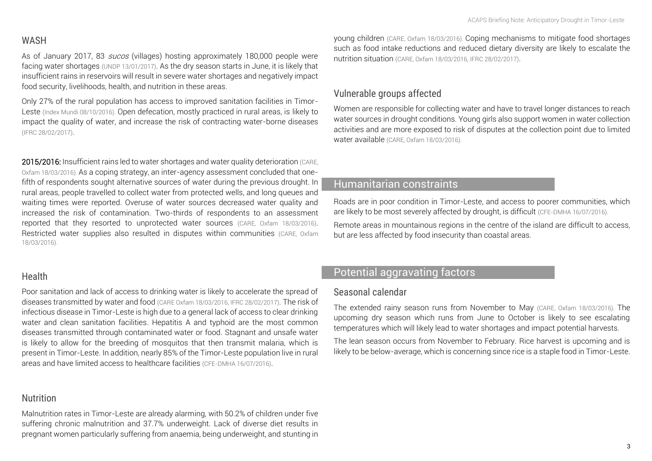## WASH

As of January 2017, 83 sucos (villages) hosting approximately 180,000 people were facing water shortages [\(UNDP 13/01/2017\)](http://reliefweb.int/sites/reliefweb.int/files/resources/El%20Ni%C3%B1o%20UNDP%20Response.pdf). As the dry season starts in June, it is likely that insufficient rains in reservoirs will result in severe water shortages and negatively impact food security, livelihoods, health, and nutrition in these areas.

Only 27% of the rural population has access to improved sanitation facilities in Timor-Leste [\(Index Mundi 08/10/2016\)](http://www.indexmundi.com/timor-leste/sanitation_facility_access.html). Open defecation, mostly practiced in rural areas, is likely to impact the quality of water, and increase the risk of contracting water-borne diseases [\(IFRC 28/02/2017\)](http://reliefweb.int/sites/reliefweb.int/files/resources/MDRTP004RPoA_0.pdf).

2015/2016: Insufficient rains led to water shortages and water quality deterioration [\(CARE,](http://reliefweb.int/sites/reliefweb.int/files/resources/HPA%20Timor-Leste%20El%20Nino%20assessment%20report%20March2016.pdf)  [Oxfam 18/03/2016\)](http://reliefweb.int/sites/reliefweb.int/files/resources/HPA%20Timor-Leste%20El%20Nino%20assessment%20report%20March2016.pdf). As a coping strategy, an inter-agency assessment concluded that onefifth of respondents sought alternative sources of water during the previous drought. In rural areas, people travelled to collect water from protected wells, and long queues and waiting times were reported. Overuse of water sources decreased water quality and increased the risk of contamination. Two-thirds of respondents to an assessment reported that they resorted to unprotected water sources [\(CARE, Oxfam 18/03/2016\)](http://reliefweb.int/sites/reliefweb.int/files/resources/HPA%20Timor-Leste%20El%20Nino%20assessment%20report%20March2016.pdf). Restricted water supplies also resulted in disputes within communities (CARE, Oxfam [18/03/2016\)](http://reliefweb.int/sites/reliefweb.int/files/resources/HPA%20Timor-Leste%20El%20Nino%20assessment%20report%20March2016.pdf).

#### Health

Poor sanitation and lack of access to drinking water is likely to accelerate the spread of diseases transmitted by water and food [\(CARE Oxfam 18/03/2016,](http://reliefweb.int/sites/reliefweb.int/files/resources/HPA%20Timor-Leste%20El%20Nino%20assessment%20report%20March2016.pdf) [IFRC 28/02/2017\)](http://reliefweb.int/sites/reliefweb.int/files/resources/MDRTP004RPoA_0.pdf). The risk of infectious disease in Timor-Leste is high due to a general lack of access to clear drinking water and clean sanitation facilities. Hepatitis A and typhoid are the most common diseases transmitted through contaminated water or food. Stagnant and unsafe water is likely to allow for the breeding of mosquitos that then transmit malaria, which is present in Timor-Leste. In addition, nearly 85% of the Timor-Leste population live in rural areas and have limited access to healthcare facilities [\(CFE-DMHA 16/07/2016\)](https://www.cfe-dmha.org/LinkClick.aspx?fileticket=t4w46XfNJmI%3d&portalid=0).

## Nutrition

Malnutrition rates in Timor-Leste are already alarming, with 50.2% of children under five suffering chronic malnutrition and 37.7% underweight. Lack of diverse diet results in pregnant women particularly suffering from anaemia, being underweight, and stunting in young children [\(CARE, Oxfam 18/03/2016\)](http://reliefweb.int/sites/reliefweb.int/files/resources/HPA%20Timor-Leste%20El%20Nino%20assessment%20report%20March2016.pdf). Coping mechanisms to mitigate food shortages such as food intake reductions and reduced dietary diversity are likely to escalate the nutrition situation [\(CARE, Oxfam 18/03/2016,](http://reliefweb.int/sites/reliefweb.int/files/resources/HPA%20Timor-Leste%20El%20Nino%20assessment%20report%20March2016.pdf) [IFRC 28/02/2017\)](http://reliefweb.int/sites/reliefweb.int/files/resources/MDRTP004RPoA_0.pdf).

## Vulnerable groups affected

Women are responsible for collecting water and have to travel longer distances to reach water sources in drought conditions. Young girls also support women in water collection activities and are more exposed to risk of disputes at the collection point due to limited water available [\(CARE, Oxfam 18/03/2016\)](http://reliefweb.int/sites/reliefweb.int/files/resources/HPA%20Timor-Leste%20El%20Nino%20assessment%20report%20March2016.pdf).

## Humanitarian constraints

Roads are in poor condition in Timor-Leste, and access to poorer communities, which are likely to be most severely affected by drought, is difficult [\(CFE-DMHA 16/07/2016\)](https://www.cfe-dmha.org/LinkClick.aspx?fileticket=t4w46XfNJmI%3d&portalid=0).

Remote areas in mountainous regions in the centre of the island are difficult to access, but are less affected by food insecurity than coastal areas.

# Potential aggravating factors

#### Seasonal calendar

The extended rainy season runs from November to May [\(CARE, Oxfam 18/03/2016\)](http://reliefweb.int/sites/reliefweb.int/files/resources/HPA%20Timor-Leste%20El%20Nino%20assessment%20report%20March2016.pdf). The upcoming dry season which runs from June to October is likely to see escalating temperatures which will likely lead to water shortages and impact potential harvests.

The lean season occurs from November to February. Rice harvest is upcoming and is likely to be below-average, which is concerning since rice is a staple food in Timor-Leste.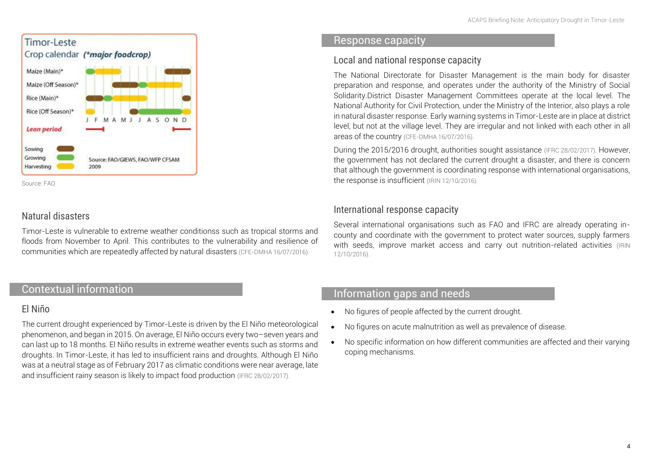

Sourc[e: FAO](http://www.fao.org/giews/countrybrief/country.jsp?code=TLS)

## Natural disasters

Timor-Leste is vulnerable to extreme weather conditionss such as tropical storms and floods from November to April. This contributes to the vulnerability and resilience of communities which are repeatedly affected by natural disasters [\(CFE-DMHA 16/07/2016\)](https://www.cfe-dmha.org/LinkClick.aspx?fileticket=t4w46XfNJmI%3d&portalid=0).

## Contextual information

#### El Niño

The current drought experienced by Timor-Leste is driven by the El Niño meteorological phenomenon, and began in 2015. On average, El Niño occurs every two–seven years and can last up to 18 months. El Niño results in extreme weather events such as storms and droughts. In Timor-Leste, it has led to insufficient rains and droughts. Although El Niño was at a neutral stage as of February 2017 as climatic conditions were near average, late and insufficient rainy season is likely to impact food production [\(IFRC 28/02/2017\)](http://reliefweb.int/sites/reliefweb.int/files/resources/MDRTP004RPoA_0.pdf).

#### Response capacity

#### Local and national response capacity

The National Directorate for Disaster Management is the main body for disaster preparation and response, and operates under the authority of the Ministry of Social Solidarity.District Disaster Management Committees operate at the local level. The National Authority for Civil Protection, under the Ministry of the Interior, also plays a role in natural disaster response. Early warning systems in Timor-Leste are in place at district level, but not at the village level. They are irregular and not linked with each other in all areas of the country [\(CFE-DMHA 16/07/2016\)](https://www.cfe-dmha.org/LinkClick.aspx?fileticket=t4w46XfNJmI%3d&portalid=0).

During the 2015/2016 drought, authorities sought assistance [\(IFRC 28/02/2017\)](http://reliefweb.int/sites/reliefweb.int/files/resources/MDRTP004RPoA_0.pdf). However, the government has not declared the current drought a disaster, and there is concern that although the government is coordinating response with international organisations, the response is insufficient [\(IRIN 12/10/2016\)](https://www.irinnews.org/news/2016/10/12/timor-leste-%E2%80%9Chunger-season%E2%80%9D-will-be-worse-after-el-ni%C3%B1o).

## International response capacity

Several international organisations such as FAO and IFRC are already operating incounty and coordinate with the government to protect water sources, supply farmers with seeds, improve market access and carry out nutrition-related activities (IRIN [12/10/2016\)](https://www.irinnews.org/news/2016/10/12/timor-leste-%E2%80%9Chunger-season%E2%80%9D-will-be-worse-after-el-ni%C3%B1o).

## Information gaps and needs

- No figures of people affected by the current drought.
- No figures on acute malnutrition as well as prevalence of disease.
- No specific information on how different communities are affected and their varying coping mechanisms.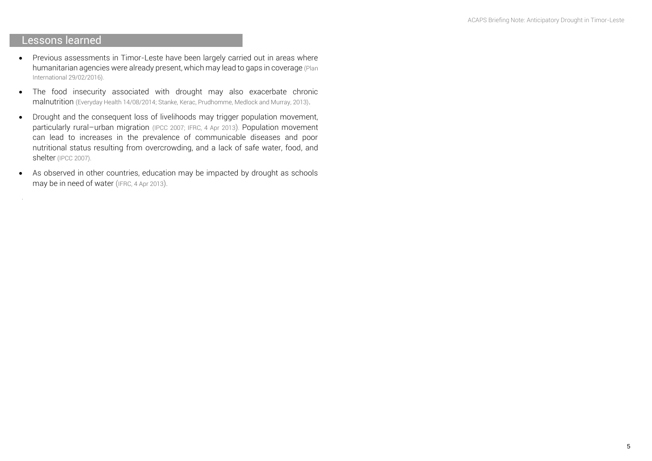## Lessons learned

.

- Previous assessments in Timor-Leste have been largely carried out in areas where humanitarian agencies were already present, which may lead to gaps in coverage [\(Plan](https://plan-international.org/hpa-agency-assessment-el-nino-impacts-timor-leste)  [International 29/02/2016\).](https://plan-international.org/hpa-agency-assessment-el-nino-impacts-timor-leste)
- The food insecurity associated with drought may also exacerbate chronic malnutrition [\(Everyday Health 14/08/2014;](http://www.everydayhealth.com/healthy-living-pictures/how-drought-conditions-impact-your-health.aspx#02) [Stanke, Kerac, Prudhomme, Medlock and Murray, 2013\)](http://www.ncbi.nlm.nih.gov/pmc/articles/PMC3682759/figure/d35e495/).
- Drought and the consequent loss of livelihoods may trigger population movement, particularly rural-urban migration [\(IPCC 2007;](https://www.ipcc.ch/publications_and_data/ar4/wg2/en/ch8s8-2-3.html) [IFRC,](http://www.ifrc.org/docs/Appeals/12/MDRLK004_REA.pdf) 4 Apr 2013). Population movement can lead to increases in the prevalence of communicable diseases and poor nutritional status resulting from overcrowding, and a lack of safe water, food, and shelter [\(IPCC 2007\)](https://www.ipcc.ch/publications_and_data/ar4/wg2/en/ch8s8-2-3.html).
- As observed in other countries, education may be impacted by drought as schools may be in need of water ([IFRC,](http://www.ifrc.org/docs/Appeals/12/MDRLK004_REA.pdf) 4 Apr 2013).